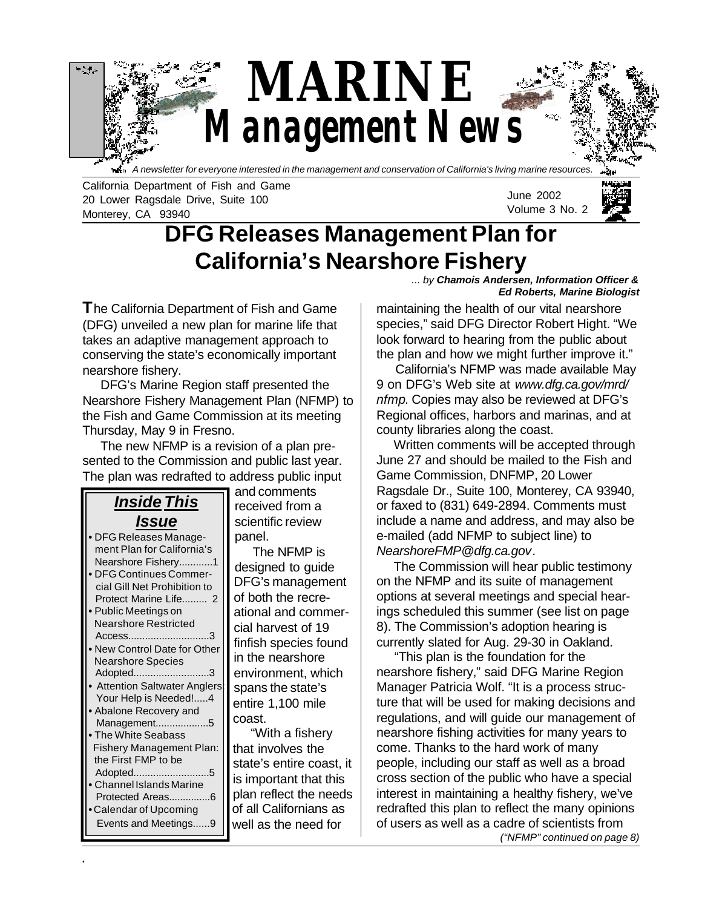

California Department of Fish and Game 20 Lower Ragsdale Drive, Suite 100 Monterey, CA 93940

June 2002 Volume 3 No. 2

# **DFG Releases Management Plan for California's Nearshore Fishery**

**T**he California Department of Fish and Game (DFG) unveiled a new plan for marine life that takes an adaptive management approach to conserving the state's economically important nearshore fishery.

 DFG's Marine Region staff presented the Nearshore Fishery Management Plan (NFMP) to the Fish and Game Commission at its meeting Thursday, May 9 in Fresno.

 The new NFMP is a revision of a plan presented to the Commission and public last year. The plan was redrafted to address public input

#### *Inside This Issue* **•** DFG Releases Manage ment Plan for California's Nearshore Fishery............1 **•** DFG Continues Commer cial Gill Net Prohibition to Protect Marine Life......... 2 **•** Public Meetings on Nearshore Restricted Access.............................3 **•** New Control Date for Other Nearshore Species Adopted...........................3 **•** Attention Saltwater Anglers: Your Help is Needed!.....4 **•** Abalone Recovery and Management...................5 **•** The White Seabass Fishery Management Plan: the First FMP to be Adopted...........................5 **•** Channel Islands Marine Protected Areas...............6 **•** Calendar of Upcoming Events and Meetings......9

and comments received from a scientific review panel.

 The NFMP is designed to guide DFG's management of both the recreational and commercial harvest of 19 finfish species found in the nearshore environment, which spans the state's entire 1,100 mile coast.

 "With a fishery that involves the state's entire coast, it is important that this plan reflect the needs of all Californians as well as the need for

**June 2002 1**

*... by Chamois Andersen, Information Officer & Ed Roberts, Marine Biologist*

maintaining the health of our vital nearshore species," said DFG Director Robert Hight. "We look forward to hearing from the public about the plan and how we might further improve it."

 California's NFMP was made available May 9 on DFG's Web site at *www.dfg.ca.gov/mrd/ nfmp*. Copies may also be reviewed at DFG's Regional offices, harbors and marinas, and at county libraries along the coast.

 Written comments will be accepted through June 27 and should be mailed to the Fish and Game Commission, DNFMP, 20 Lower Ragsdale Dr., Suite 100, Monterey, CA 93940, or faxed to (831) 649-2894. Comments must include a name and address, and may also be e-mailed (add NFMP to subject line) to *NearshoreFMP@dfg.ca.gov*.

 The Commission will hear public testimony on the NFMP and its suite of management options at several meetings and special hearings scheduled this summer (see list on page 8). The Commission's adoption hearing is currently slated for Aug. 29-30 in Oakland.

*("NFMP" continued on page 8)* "This plan is the foundation for the nearshore fishery," said DFG Marine Region Manager Patricia Wolf. "It is a process structure that will be used for making decisions and regulations, and will guide our management of nearshore fishing activities for many years to come. Thanks to the hard work of many people, including our staff as well as a broad cross section of the public who have a special interest in maintaining a healthy fishery, we've redrafted this plan to reflect the many opinions of users as well as a cadre of scientists from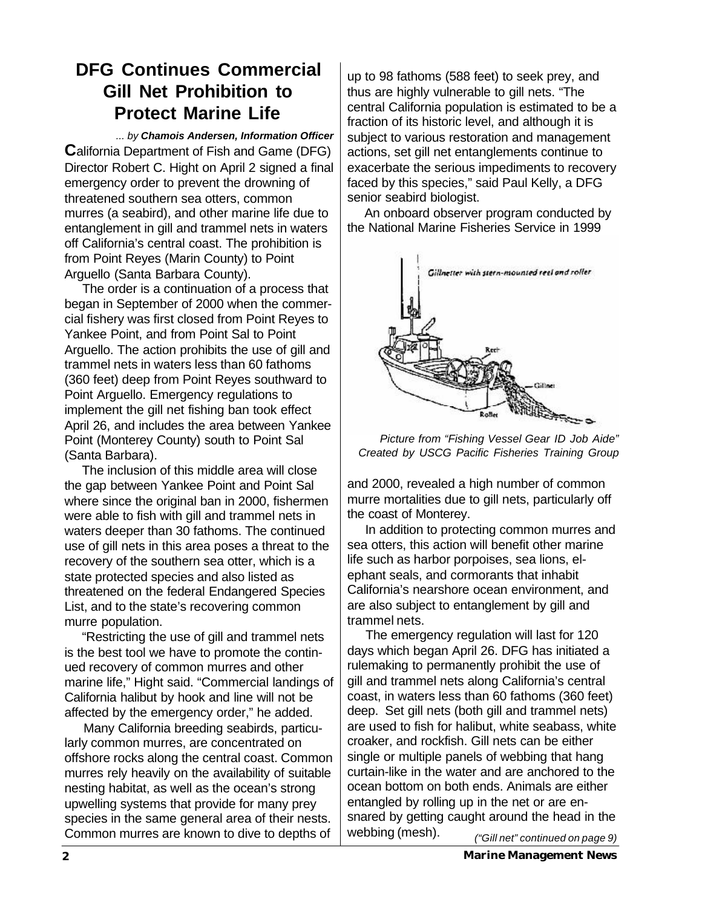### **DFG Continues Commercial Gill Net Prohibition to Protect Marine Life**

*... by Chamois Andersen, Information Officer* **C**alifornia Department of Fish and Game (DFG) Director Robert C. Hight on April 2 signed a final emergency order to prevent the drowning of threatened southern sea otters, common murres (a seabird), and other marine life due to entanglement in gill and trammel nets in waters off California's central coast. The prohibition is from Point Reyes (Marin County) to Point Arguello (Santa Barbara County).

 The order is a continuation of a process that began in September of 2000 when the commercial fishery was first closed from Point Reyes to Yankee Point, and from Point Sal to Point Arguello. The action prohibits the use of gill and trammel nets in waters less than 60 fathoms (360 feet) deep from Point Reyes southward to Point Arguello. Emergency regulations to implement the gill net fishing ban took effect April 26, and includes the area between Yankee Point (Monterey County) south to Point Sal (Santa Barbara).

 The inclusion of this middle area will close the gap between Yankee Point and Point Sal where since the original ban in 2000, fishermen were able to fish with gill and trammel nets in waters deeper than 30 fathoms. The continued use of gill nets in this area poses a threat to the recovery of the southern sea otter, which is a state protected species and also listed as threatened on the federal Endangered Species List, and to the state's recovering common murre population.

 "Restricting the use of gill and trammel nets is the best tool we have to promote the continued recovery of common murres and other marine life," Hight said. "Commercial landings of California halibut by hook and line will not be affected by the emergency order," he added.

 Many California breeding seabirds, particularly common murres, are concentrated on offshore rocks along the central coast. Common murres rely heavily on the availability of suitable nesting habitat, as well as the ocean's strong upwelling systems that provide for many prey species in the same general area of their nests. Common murres are known to dive to depths of

up to 98 fathoms (588 feet) to seek prey, and thus are highly vulnerable to gill nets. "The central California population is estimated to be a fraction of its historic level, and although it is subject to various restoration and management actions, set gill net entanglements continue to exacerbate the serious impediments to recovery faced by this species," said Paul Kelly, a DFG senior seabird biologist.

 An onboard observer program conducted by the National Marine Fisheries Service in 1999



*Picture from "Fishing Vessel Gear ID Job Aide" Created by USCG Pacific Fisheries Training Group*

and 2000, revealed a high number of common murre mortalities due to gill nets, particularly off the coast of Monterey.

 In addition to protecting common murres and sea otters, this action will benefit other marine life such as harbor porpoises, sea lions, elephant seals, and cormorants that inhabit California's nearshore ocean environment, and are also subject to entanglement by gill and trammel nets.

*("Gill net" continued on page 9)* The emergency regulation will last for 120 days which began April 26. DFG has initiated a rulemaking to permanently prohibit the use of gill and trammel nets along California's central coast, in waters less than 60 fathoms (360 feet) deep. Set gill nets (both gill and trammel nets) are used to fish for halibut, white seabass, white croaker, and rockfish. Gill nets can be either single or multiple panels of webbing that hang curtain-like in the water and are anchored to the ocean bottom on both ends. Animals are either entangled by rolling up in the net or are ensnared by getting caught around the head in the webbing (mesh).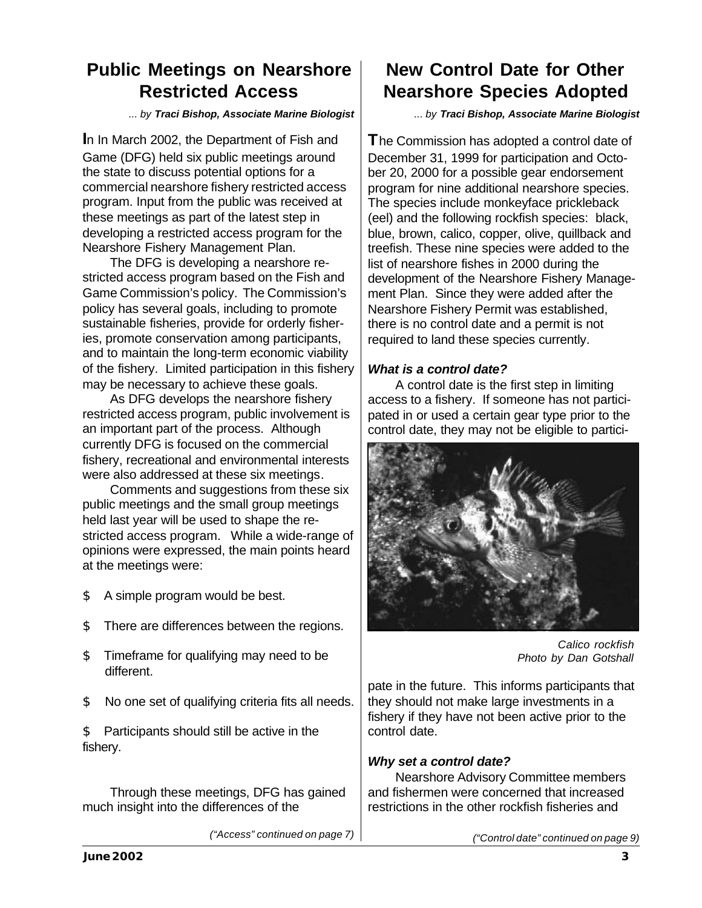### **Public Meetings on Nearshore Restricted Access**

*... by Traci Bishop, Associate Marine Biologist*

**I**n In March 2002, the Department of Fish and Game (DFG) held six public meetings around the state to discuss potential options for a commercial nearshore fishery restricted access program. Input from the public was received at these meetings as part of the latest step in developing a restricted access program for the Nearshore Fishery Management Plan.

The DFG is developing a nearshore restricted access program based on the Fish and Game Commission's policy. The Commission's policy has several goals, including to promote sustainable fisheries, provide for orderly fisheries, promote conservation among participants, and to maintain the long-term economic viability of the fishery. Limited participation in this fishery may be necessary to achieve these goals.

As DFG develops the nearshore fishery restricted access program, public involvement is an important part of the process. Although currently DFG is focused on the commercial fishery, recreational and environmental interests were also addressed at these six meetings.

Comments and suggestions from these six public meetings and the small group meetings held last year will be used to shape the restricted access program. While a wide-range of opinions were expressed, the main points heard at the meetings were:

- \$ A simple program would be best.
- \$ There are differences between the regions.
- \$ Timeframe for qualifying may need to be different.
- \$ No one set of qualifying criteria fits all needs.

\$ Participants should still be active in the fishery.

Through these meetings, DFG has gained much insight into the differences of the

*("Access" continued on page 7)*

## **New Control Date for Other Nearshore Species Adopted**

*... by Traci Bishop, Associate Marine Biologist*

**T**he Commission has adopted a control date of December 31, 1999 for participation and October 20, 2000 for a possible gear endorsement program for nine additional nearshore species. The species include monkeyface prickleback (eel) and the following rockfish species: black, blue, brown, calico, copper, olive, quillback and treefish. These nine species were added to the list of nearshore fishes in 2000 during the development of the Nearshore Fishery Management Plan. Since they were added after the Nearshore Fishery Permit was established, there is no control date and a permit is not required to land these species currently.

### *What is a control date?*

A control date is the first step in limiting access to a fishery. If someone has not participated in or used a certain gear type prior to the control date, they may not be eligible to partici-



*Calico rockfish Photo by Dan Gotshall*

pate in the future. This informs participants that they should not make large investments in a fishery if they have not been active prior to the control date.

### *Why set a control date?*

Nearshore Advisory Committee members and fishermen were concerned that increased restrictions in the other rockfish fisheries and

*("Control date" continued on page 9)*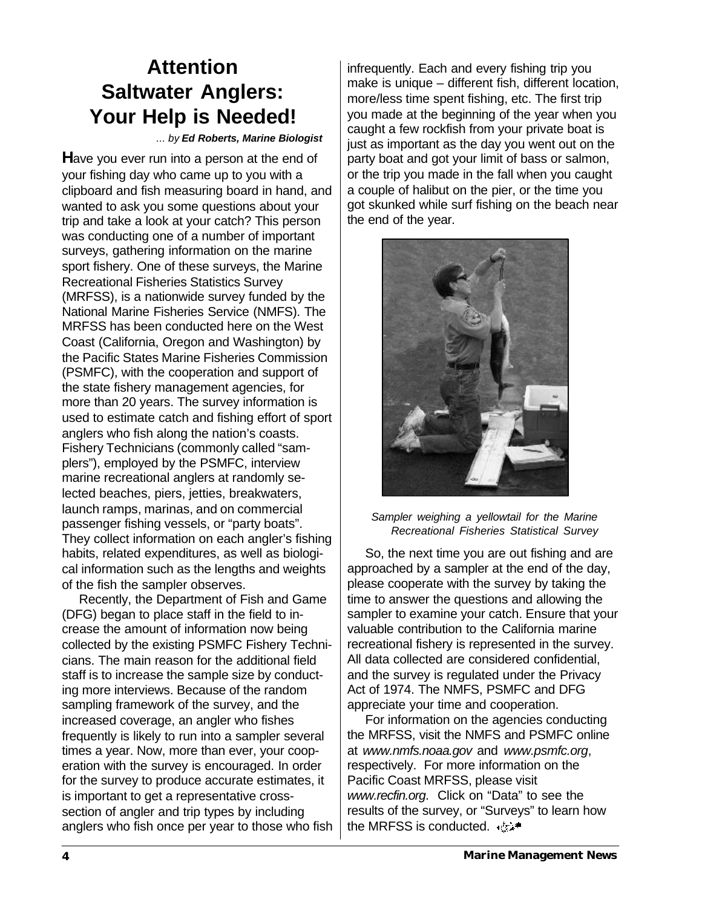# **Attention Saltwater Anglers: Your Help is Needed!**

#### *... by Ed Roberts, Marine Biologist*

**H**ave you ever run into a person at the end of your fishing day who came up to you with a clipboard and fish measuring board in hand, and wanted to ask you some questions about your trip and take a look at your catch? This person was conducting one of a number of important surveys, gathering information on the marine sport fishery. One of these surveys, the Marine Recreational Fisheries Statistics Survey (MRFSS), is a nationwide survey funded by the National Marine Fisheries Service (NMFS). The MRFSS has been conducted here on the West Coast (California, Oregon and Washington) by the Pacific States Marine Fisheries Commission (PSMFC), with the cooperation and support of the state fishery management agencies, for more than 20 years. The survey information is used to estimate catch and fishing effort of sport anglers who fish along the nation's coasts. Fishery Technicians (commonly called "samplers"), employed by the PSMFC, interview marine recreational anglers at randomly selected beaches, piers, jetties, breakwaters, launch ramps, marinas, and on commercial passenger fishing vessels, or "party boats". They collect information on each angler's fishing habits, related expenditures, as well as biological information such as the lengths and weights of the fish the sampler observes.

 Recently, the Department of Fish and Game (DFG) began to place staff in the field to increase the amount of information now being collected by the existing PSMFC Fishery Technicians. The main reason for the additional field staff is to increase the sample size by conducting more interviews. Because of the random sampling framework of the survey, and the increased coverage, an angler who fishes frequently is likely to run into a sampler several times a year. Now, more than ever, your cooperation with the survey is encouraged. In order for the survey to produce accurate estimates, it is important to get a representative crosssection of angler and trip types by including anglers who fish once per year to those who fish

infrequently. Each and every fishing trip you make is unique – different fish, different location, more/less time spent fishing, etc. The first trip you made at the beginning of the year when you caught a few rockfish from your private boat is just as important as the day you went out on the party boat and got your limit of bass or salmon, or the trip you made in the fall when you caught a couple of halibut on the pier, or the time you got skunked while surf fishing on the beach near the end of the year.



#### *Sampler weighing a yellowtail for the Marine Recreational Fisheries Statistical Survey*

 So, the next time you are out fishing and are approached by a sampler at the end of the day, please cooperate with the survey by taking the time to answer the questions and allowing the sampler to examine your catch. Ensure that your valuable contribution to the California marine recreational fishery is represented in the survey. All data collected are considered confidential, and the survey is regulated under the Privacy Act of 1974. The NMFS, PSMFC and DFG appreciate your time and cooperation.

 For information on the agencies conducting the MRFSS, visit the NMFS and PSMFC online at *www.nmfs.noaa.gov* and *www.psmfc.org*, respectively. For more information on the Pacific Coast MRFSS, please visit *www.recfin.org*. Click on "Data" to see the results of the survey, or "Surveys" to learn how the MRFSS is conducted. + ts>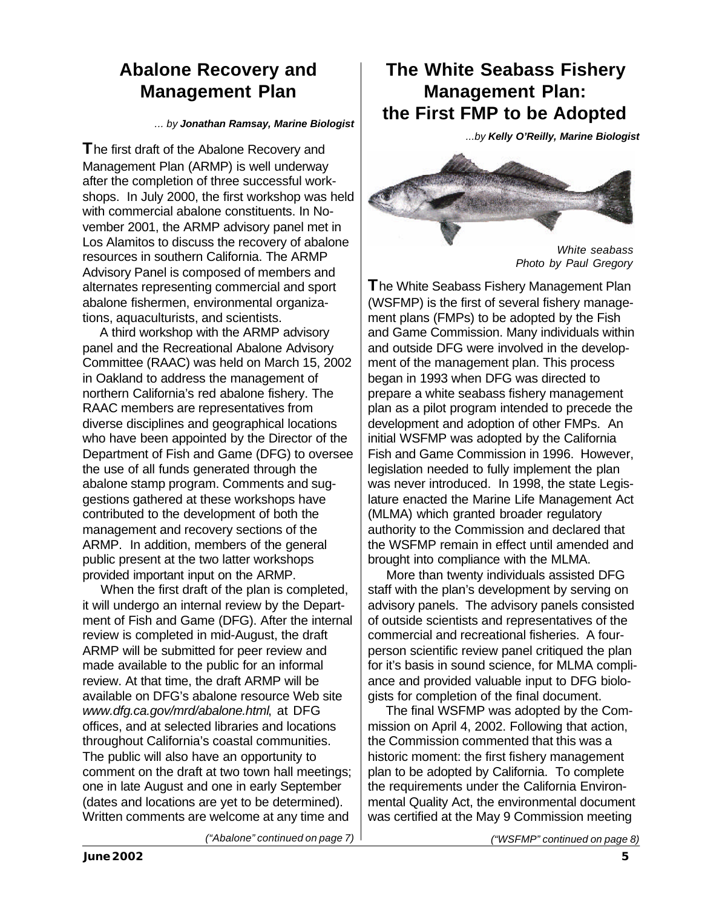### **Abalone Recovery and Management Plan**

#### *... by Jonathan Ramsay, Marine Biologist*

**T**he first draft of the Abalone Recovery and Management Plan (ARMP) is well underway after the completion of three successful workshops. In July 2000, the first workshop was held with commercial abalone constituents. In November 2001, the ARMP advisory panel met in Los Alamitos to discuss the recovery of abalone resources in southern California. The ARMP Advisory Panel is composed of members and alternates representing commercial and sport abalone fishermen, environmental organizations, aquaculturists, and scientists.

 A third workshop with the ARMP advisory panel and the Recreational Abalone Advisory Committee (RAAC) was held on March 15, 2002 in Oakland to address the management of northern California's red abalone fishery. The RAAC members are representatives from diverse disciplines and geographical locations who have been appointed by the Director of the Department of Fish and Game (DFG) to oversee the use of all funds generated through the abalone stamp program. Comments and suggestions gathered at these workshops have contributed to the development of both the management and recovery sections of the ARMP. In addition, members of the general public present at the two latter workshops provided important input on the ARMP.

 When the first draft of the plan is completed, it will undergo an internal review by the Department of Fish and Game (DFG). After the internal review is completed in mid-August, the draft ARMP will be submitted for peer review and made available to the public for an informal review. At that time, the draft ARMP will be available on DFG's abalone resource Web site *www.dfg.ca.gov/mrd/abalone.html*, at DFG offices, and at selected libraries and locations throughout California's coastal communities. The public will also have an opportunity to comment on the draft at two town hall meetings; one in late August and one in early September (dates and locations are yet to be determined). Written comments are welcome at any time and

### **The White Seabass Fishery Management Plan: the First FMP to be Adopted**

*...by Kelly O'Reilly, Marine Biologist*



*White seabass Photo by Paul Gregory*

**T**he White Seabass Fishery Management Plan (WSFMP) is the first of several fishery management plans (FMPs) to be adopted by the Fish and Game Commission. Many individuals within and outside DFG were involved in the development of the management plan. This process began in 1993 when DFG was directed to prepare a white seabass fishery management plan as a pilot program intended to precede the development and adoption of other FMPs. An initial WSFMP was adopted by the California Fish and Game Commission in 1996. However, legislation needed to fully implement the plan was never introduced. In 1998, the state Legislature enacted the Marine Life Management Act (MLMA) which granted broader regulatory authority to the Commission and declared that the WSFMP remain in effect until amended and brought into compliance with the MLMA.

 More than twenty individuals assisted DFG staff with the plan's development by serving on advisory panels. The advisory panels consisted of outside scientists and representatives of the commercial and recreational fisheries. A fourperson scientific review panel critiqued the plan for it's basis in sound science, for MLMA compliance and provided valuable input to DFG biologists for completion of the final document.

 The final WSFMP was adopted by the Commission on April 4, 2002. Following that action, the Commission commented that this was a historic moment: the first fishery management plan to be adopted by California. To complete the requirements under the California Environmental Quality Act, the environmental document was certified at the May 9 Commission meeting

*("Abalone" continued on page 7)*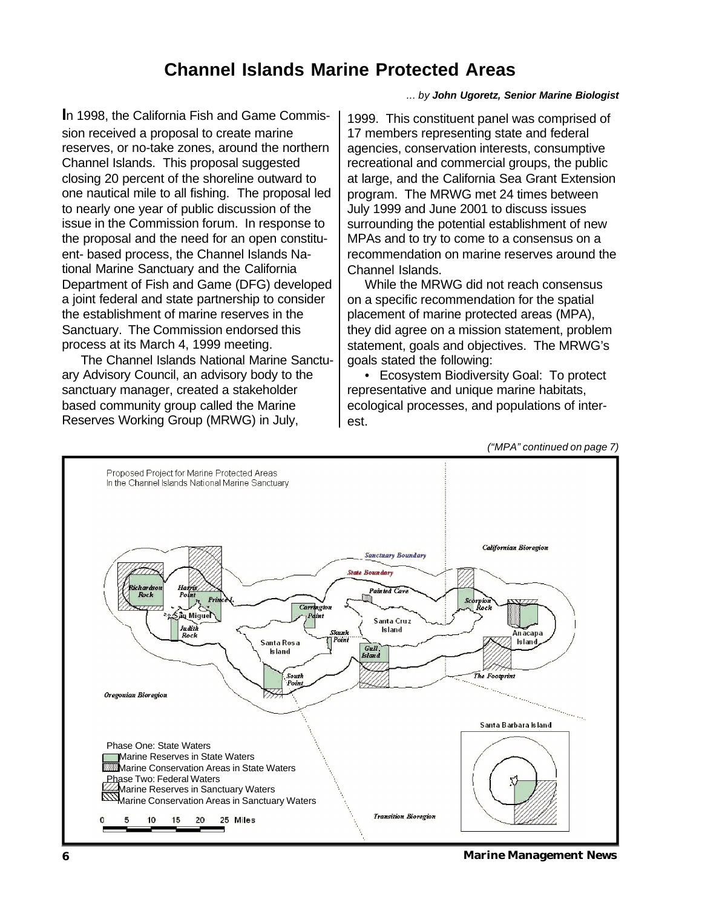### **Channel Islands Marine Protected Areas**

*... by John Ugoretz, Senior Marine Biologist*

**I**n 1998, the California Fish and Game Commission received a proposal to create marine reserves, or no-take zones, around the northern Channel Islands. This proposal suggested closing 20 percent of the shoreline outward to one nautical mile to all fishing. The proposal led to nearly one year of public discussion of the issue in the Commission forum. In response to the proposal and the need for an open constituent- based process, the Channel Islands National Marine Sanctuary and the California Department of Fish and Game (DFG) developed a joint federal and state partnership to consider the establishment of marine reserves in the Sanctuary. The Commission endorsed this process at its March 4, 1999 meeting.

 The Channel Islands National Marine Sanctuary Advisory Council, an advisory body to the sanctuary manager, created a stakeholder based community group called the Marine Reserves Working Group (MRWG) in July,

1999. This constituent panel was comprised of 17 members representing state and federal agencies, conservation interests, consumptive recreational and commercial groups, the public at large, and the California Sea Grant Extension program. The MRWG met 24 times between July 1999 and June 2001 to discuss issues surrounding the potential establishment of new MPAs and to try to come to a consensus on a recommendation on marine reserves around the Channel Islands.

 While the MRWG did not reach consensus on a specific recommendation for the spatial placement of marine protected areas (MPA), they did agree on a mission statement, problem statement, goals and objectives. The MRWG's goals stated the following:

 • Ecosystem Biodiversity Goal: To protect representative and unique marine habitats, ecological processes, and populations of interest.



**6 Marine Management News**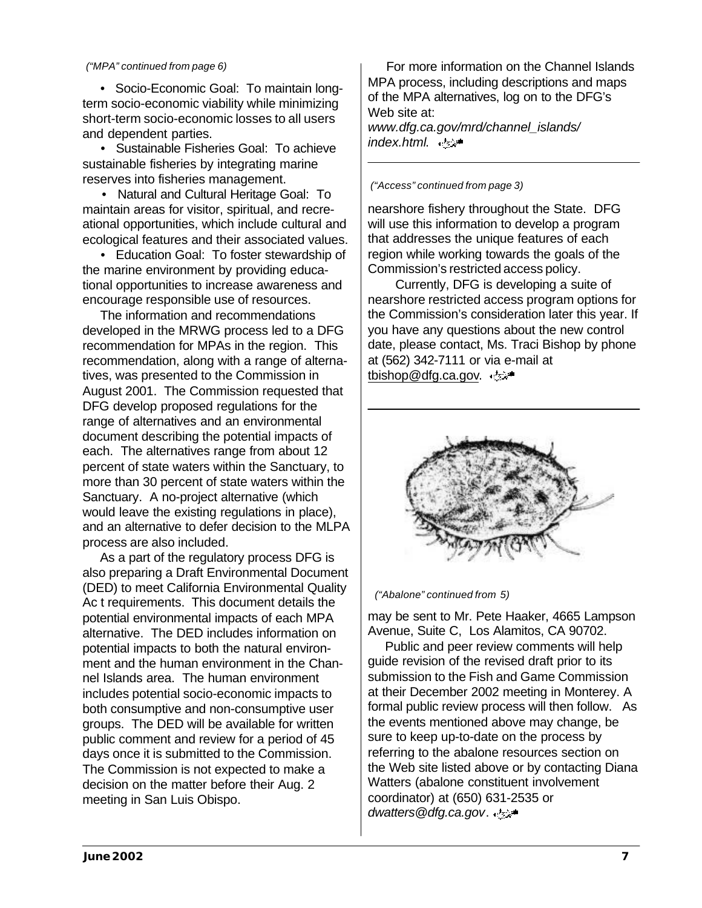#### *("MPA" continued from page 6)*

 • Socio-Economic Goal: To maintain longterm socio-economic viability while minimizing short-term socio-economic losses to all users and dependent parties.

 • Sustainable Fisheries Goal: To achieve sustainable fisheries by integrating marine reserves into fisheries management.

 • Natural and Cultural Heritage Goal: To maintain areas for visitor, spiritual, and recreational opportunities, which include cultural and ecological features and their associated values.

 • Education Goal: To foster stewardship of the marine environment by providing educational opportunities to increase awareness and encourage responsible use of resources.

 The information and recommendations developed in the MRWG process led to a DFG recommendation for MPAs in the region. This recommendation, along with a range of alternatives, was presented to the Commission in August 2001. The Commission requested that DFG develop proposed regulations for the range of alternatives and an environmental document describing the potential impacts of each. The alternatives range from about 12 percent of state waters within the Sanctuary, to more than 30 percent of state waters within the Sanctuary. A no-project alternative (which would leave the existing regulations in place), and an alternative to defer decision to the MLPA process are also included.

 As a part of the regulatory process DFG is also preparing a Draft Environmental Document (DED) to meet California Environmental Quality Ac t requirements. This document details the potential environmental impacts of each MPA alternative. The DED includes information on potential impacts to both the natural environment and the human environment in the Channel Islands area. The human environment includes potential socio-economic impacts to both consumptive and non-consumptive user groups. The DED will be available for written public comment and review for a period of 45 days once it is submitted to the Commission. The Commission is not expected to make a decision on the matter before their Aug. 2 meeting in San Luis Obispo.

 For more information on the Channel Islands MPA process, including descriptions and maps of the MPA alternatives, log on to the DFG's Web site at:

*www.dfg.ca.gov/mrd/channel\_islands/ index.html*.

*("Access" continued from page 3)*

nearshore fishery throughout the State. DFG will use this information to develop a program that addresses the unique features of each region while working towards the goals of the Commission's restricted access policy.

Currently, DFG is developing a suite of nearshore restricted access program options for the Commission's consideration later this year. If you have any questions about the new control date, please contact, Ms. Traci Bishop by phone at (562) 342-7111 or via e-mail at tbishop@dfg.ca.gov.



*("Abalone" continued from 5)*

may be sent to Mr. Pete Haaker, 4665 Lampson Avenue, Suite C, Los Alamitos, CA 90702.

 Public and peer review comments will help guide revision of the revised draft prior to its submission to the Fish and Game Commission at their December 2002 meeting in Monterey. A formal public review process will then follow. As the events mentioned above may change, be sure to keep up-to-date on the process by referring to the abalone resources section on the Web site listed above or by contacting Diana Watters (abalone constituent involvement coordinator) at (650) 631-2535 or dwatters@dfg.ca.gov.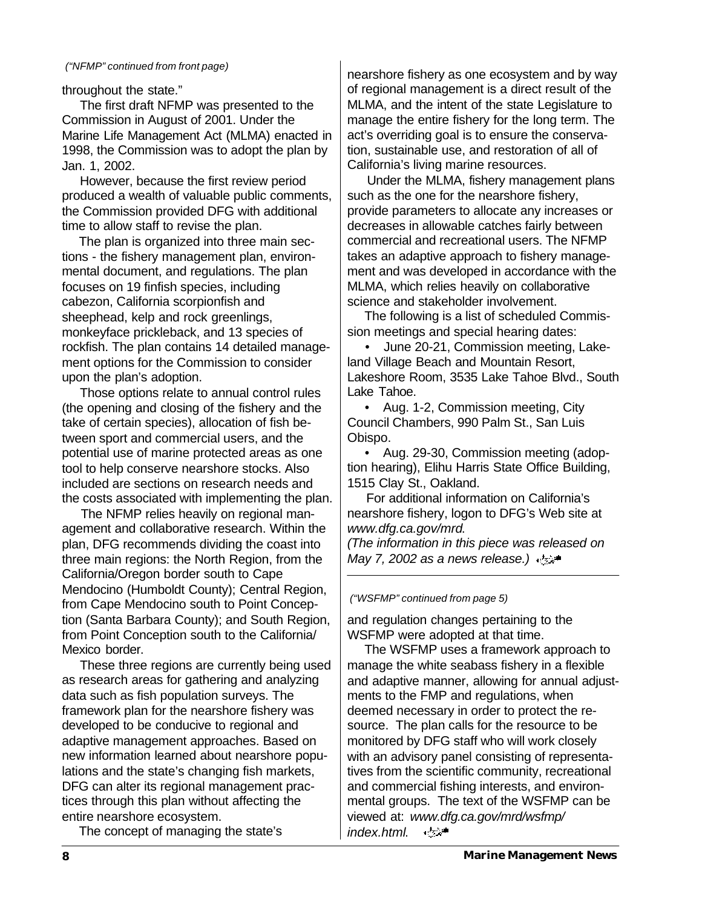#### *("NFMP" continued from front page)*

throughout the state."

 The first draft NFMP was presented to the Commission in August of 2001. Under the Marine Life Management Act (MLMA) enacted in 1998, the Commission was to adopt the plan by Jan. 1, 2002.

 However, because the first review period produced a wealth of valuable public comments, the Commission provided DFG with additional time to allow staff to revise the plan.

 The plan is organized into three main sections - the fishery management plan, environmental document, and regulations. The plan focuses on 19 finfish species, including cabezon, California scorpionfish and sheephead, kelp and rock greenlings, monkeyface prickleback, and 13 species of rockfish. The plan contains 14 detailed management options for the Commission to consider upon the plan's adoption.

 Those options relate to annual control rules (the opening and closing of the fishery and the take of certain species), allocation of fish between sport and commercial users, and the potential use of marine protected areas as one tool to help conserve nearshore stocks. Also included are sections on research needs and the costs associated with implementing the plan.

 The NFMP relies heavily on regional management and collaborative research. Within the plan, DFG recommends dividing the coast into three main regions: the North Region, from the California/Oregon border south to Cape Mendocino (Humboldt County); Central Region, from Cape Mendocino south to Point Conception (Santa Barbara County); and South Region, from Point Conception south to the California/ Mexico border.

 These three regions are currently being used as research areas for gathering and analyzing data such as fish population surveys. The framework plan for the nearshore fishery was developed to be conducive to regional and adaptive management approaches. Based on new information learned about nearshore populations and the state's changing fish markets, DFG can alter its regional management practices through this plan without affecting the entire nearshore ecosystem.

The concept of managing the state's

nearshore fishery as one ecosystem and by way of regional management is a direct result of the MLMA, and the intent of the state Legislature to manage the entire fishery for the long term. The act's overriding goal is to ensure the conservation, sustainable use, and restoration of all of California's living marine resources.

 Under the MLMA, fishery management plans such as the one for the nearshore fishery, provide parameters to allocate any increases or decreases in allowable catches fairly between commercial and recreational users. The NFMP takes an adaptive approach to fishery management and was developed in accordance with the MLMA, which relies heavily on collaborative science and stakeholder involvement.

 The following is a list of scheduled Commission meetings and special hearing dates:

 • June 20-21, Commission meeting, Lakeland Village Beach and Mountain Resort, Lakeshore Room, 3535 Lake Tahoe Blvd., South Lake Tahoe.

• Aug. 1-2, Commission meeting, City Council Chambers, 990 Palm St., San Luis Obispo.

 • Aug. 29-30, Commission meeting (adoption hearing), Elihu Harris State Office Building, 1515 Clay St., Oakland.

 For additional information on California's nearshore fishery, logon to DFG's Web site at *www.dfg.ca.gov/mrd*.

*(The information in this piece was released on May 7, 2002 as a news release.)*

*("WSFMP" continued from page 5)*

and regulation changes pertaining to the WSFMP were adopted at that time.

 The WSFMP uses a framework approach to manage the white seabass fishery in a flexible and adaptive manner, allowing for annual adjustments to the FMP and regulations, when deemed necessary in order to protect the resource. The plan calls for the resource to be monitored by DFG staff who will work closely with an advisory panel consisting of representatives from the scientific community, recreational and commercial fishing interests, and environmental groups. The text of the WSFMP can be viewed at: *www.dfg.ca.gov/mrd/wsfmp/*  $\epsilon$  ,  $\epsilon$ *index.html*.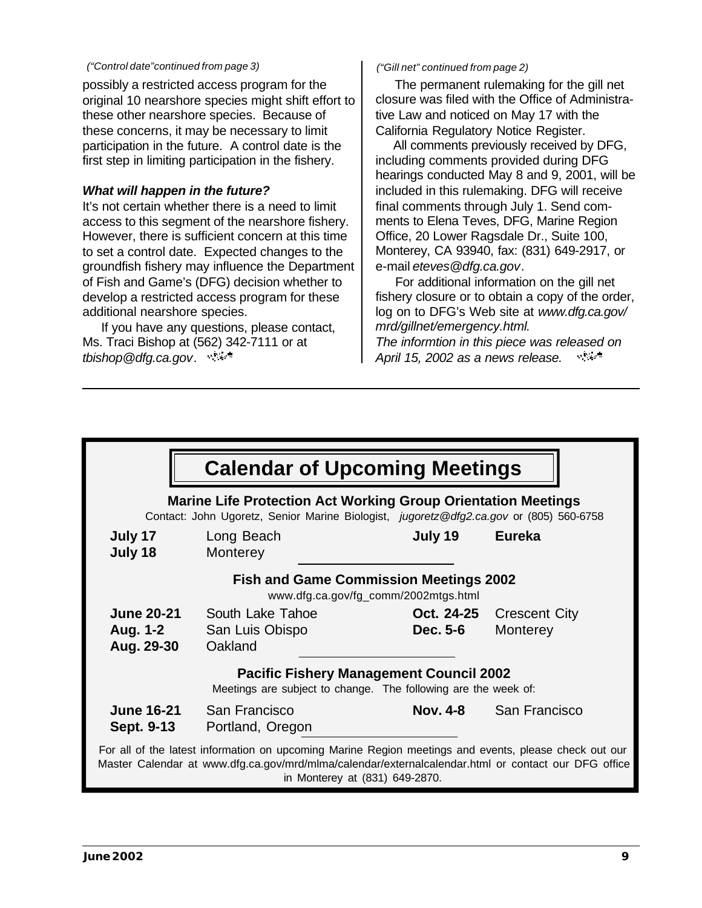#### *("Control date"continued from page 3)*

possibly a restricted access program for the original 10 nearshore species might shift effort to these other nearshore species. Because of these concerns, it may be necessary to limit participation in the future. A control date is the first step in limiting participation in the fishery.

### *What will happen in the future?*

It's not certain whether there is a need to limit access to this segment of the nearshore fishery. However, there is sufficient concern at this time to set a control date. Expected changes to the groundfish fishery may influence the Department of Fish and Game's (DFG) decision whether to develop a restricted access program for these additional nearshore species.

 If you have any questions, please contact, Ms. Traci Bishop at (562) 342-7111 or at *tbishop@dfg.ca.gov*.

#### *("Gill net" continued from page 2)*

 The permanent rulemaking for the gill net closure was filed with the Office of Administrative Law and noticed on May 17 with the California Regulatory Notice Register.

 All comments previously received by DFG, including comments provided during DFG hearings conducted May 8 and 9, 2001, will be included in this rulemaking. DFG will receive final comments through July 1. Send comments to Elena Teves, DFG, Marine Region Office, 20 Lower Ragsdale Dr., Suite 100, Monterey, CA 93940, fax: (831) 649-2917, or e-mail *eteves@dfg.ca.gov*.

 For additional information on the gill net fishery closure or to obtain a copy of the order, log on to DFG's Web site at *www.dfg.ca.gov/ mrd/gillnet/emergency.html*. *The informtion in this piece was released on April 15, 2002 as a news release.*  $\sim 20\, {\rm km}^{-3}$ 

| <b>Calendar of Upcoming Meetings</b>                                                                                                                                                                                                           |                                                |                        |                                  |
|------------------------------------------------------------------------------------------------------------------------------------------------------------------------------------------------------------------------------------------------|------------------------------------------------|------------------------|----------------------------------|
| <b>Marine Life Protection Act Working Group Orientation Meetings</b><br>Contact: John Ugoretz, Senior Marine Biologist, jugoretz@dfg2.ca.gov or (805) 560-6758                                                                                 |                                                |                        |                                  |
| July 17<br>July 18                                                                                                                                                                                                                             | Long Beach<br>Monterey                         | July 19                | <b>Eureka</b>                    |
| <b>Fish and Game Commission Meetings 2002</b><br>www.dfg.ca.gov/fg_comm/2002mtgs.html                                                                                                                                                          |                                                |                        |                                  |
| <b>June 20-21</b><br>Aug. 1-2<br>Aug. 29-30                                                                                                                                                                                                    | South Lake Tahoe<br>San Luis Obispo<br>Oakland | Oct. 24-25<br>Dec. 5-6 | <b>Crescent City</b><br>Monterey |
| <b>Pacific Fishery Management Council 2002</b><br>Meetings are subject to change. The following are the week of:                                                                                                                               |                                                |                        |                                  |
| <b>June 16-21</b><br>Sept. 9-13                                                                                                                                                                                                                | San Francisco<br>Portland, Oregon              | <b>Nov. 4-8</b>        | San Francisco                    |
| For all of the latest information on upcoming Marine Region meetings and events, please check out our<br>Master Calendar at www.dfg.ca.gov/mrd/mlma/calendar/externalcalendar.html or contact our DFG office<br>in Monterey at (831) 649-2870. |                                                |                        |                                  |